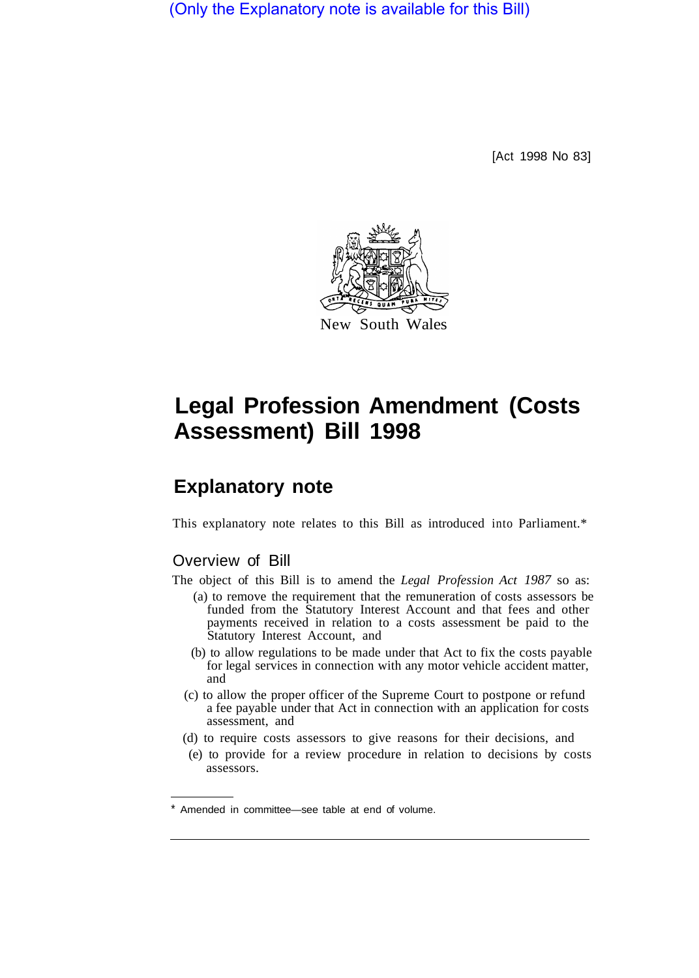(Only the Explanatory note is available for this Bill)

[Act 1998 No 83]



# **Legal Profession Amendment (Costs Assessment) Bill 1998**

# **Explanatory note**

This explanatory note relates to this Bill as introduced into Parliament.\*

# Overview of Bill

The object of this Bill is to amend the *Legal Profession Act 1987* so as:

- (a) to remove the requirement that the remuneration of costs assessors be funded from the Statutory Interest Account and that fees and other payments received in relation to a costs assessment be paid to the Statutory Interest Account, and
- (b) to allow regulations to be made under that Act to fix the costs payable for legal services in connection with any motor vehicle accident matter, and
- (c) to allow the proper officer of the Supreme Court to postpone or refund a fee payable under that Act in connection with an application for costs assessment, and
- (d) to require costs assessors to give reasons for their decisions, and
- (e) to provide for a review procedure in relation to decisions by costs assessors.

Amended in committee—see table at end of volume.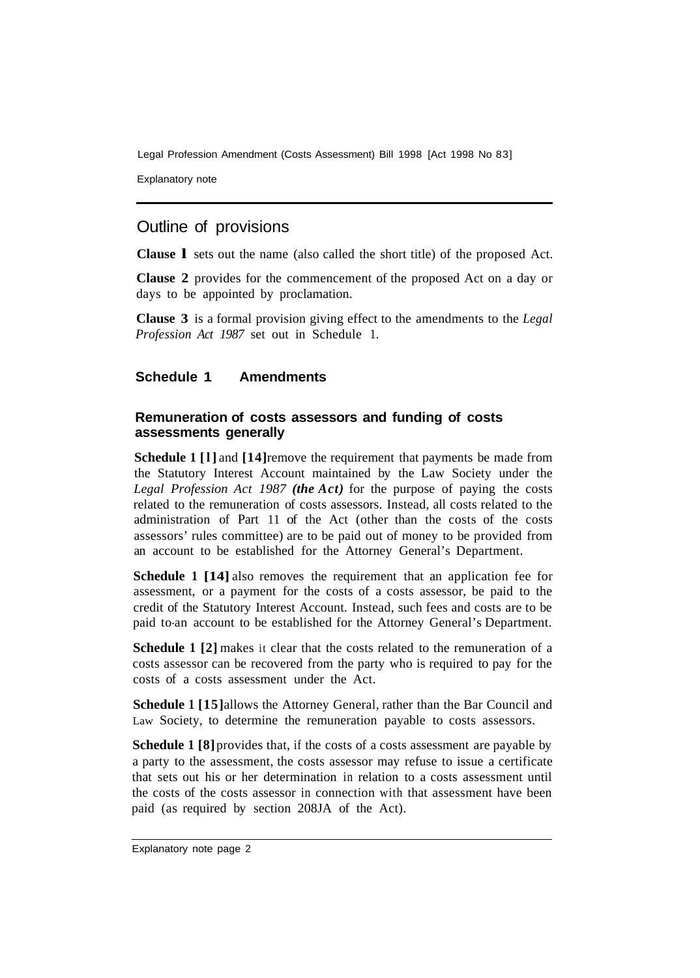Legal Profession Amendment (Costs Assessment) Bill 1998 [Act 1998 No 83]

Explanatory note

# Outline of provisions

**Clause l** sets out the name (also called the short title) of the proposed Act.

**Clause 2** provides for the commencement of the proposed Act on a day or days to be appointed by proclamation.

**Clause 3** is a formal provision giving effect to the amendments to the *Legal Profession Act 1987* set out in Schedule 1.

#### **Schedule 1 Amendments**

#### **Remuneration of costs assessors and funding of costs assessments generally**

**Schedule 1 [1] and [14] remove the requirement that payments be made from** the Statutory Interest Account maintained by the Law Society under the *Legal Profession Act 1987 (the Act)* for the purpose of paying the costs related to the remuneration of costs assessors. Instead, all costs related to the administration of Part 11 of the Act (other than the costs of the costs assessors' rules committee) are to be paid out of money to be provided from an account to be established for the Attorney General's Department.

**Schedule 1 [14]** also removes the requirement that an application fee for assessment, or a payment for the costs of a costs assessor, be paid to the credit of the Statutory Interest Account. Instead, such fees and costs are to be paid to-an account to be established for the Attorney General's Department.

**Schedule 1** [2] makes it clear that the costs related to the remuneration of a costs assessor can be recovered from the party who is required to pay for the costs of a costs assessment under the Act.

**Schedule 1 [15]** allows the Attorney General, rather than the Bar Council and Law Society, to determine the remuneration payable to costs assessors.

**Schedule 1 [8]** provides that, if the costs of a costs assessment are payable by a party to the assessment, the costs assessor may refuse to issue a certificate that sets out his or her determination in relation to a costs assessment until the costs of the costs assessor in connection with that assessment have been paid (as required by section 208JA of the Act).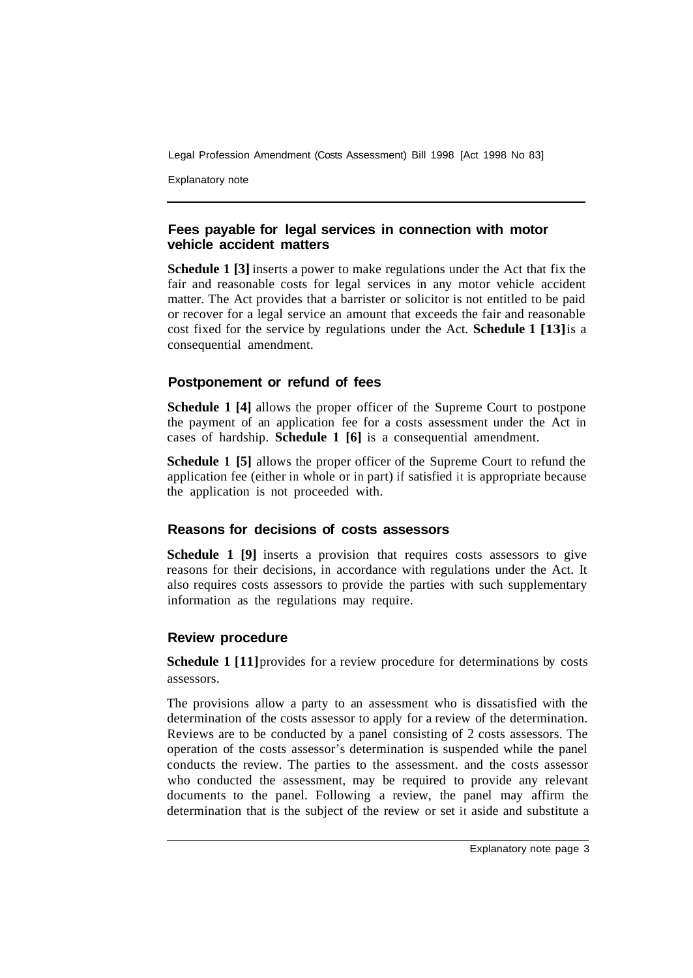Legal Profession Amendment (Costs Assessment) Bill 1998 [Act 1998 No 83]

Explanatory note

#### **Fees payable for legal services in connection with motor vehicle accident matters**

**Schedule 1 [3]** inserts a power to make regulations under the Act that fix the fair and reasonable costs for legal services in any motor vehicle accident matter. The Act provides that a barrister or solicitor is not entitled to be paid or recover for a legal service an amount that exceeds the fair and reasonable cost fixed for the service by regulations under the Act. **Schedule 1 [13]** is a consequential amendment.

# **Postponement or refund of fees**

**Schedule 1 [4]** allows the proper officer of the Supreme Court to postpone the payment of an application fee for a costs assessment under the Act in cases of hardship. **Schedule 1 [6]** is a consequential amendment.

**Schedule 1 [5]** allows the proper officer of the Supreme Court to refund the application fee (either in whole or in part) if satisfied it is appropriate because the application is not proceeded with.

# **Reasons for decisions of costs assessors**

**Schedule 1 [9]** inserts a provision that requires costs assessors to give reasons for their decisions, in accordance with regulations under the Act. It also requires costs assessors to provide the parties with such supplementary information as the regulations may require.

# **Review procedure**

**Schedule 1** [11] provides for a review procedure for determinations by costs assessors.

The provisions allow a party to an assessment who is dissatisfied with the determination of the costs assessor to apply for a review of the determination. Reviews are to be conducted by a panel consisting of 2 costs assessors. The operation of the costs assessor's determination is suspended while the panel conducts the review. The parties to the assessment. and the costs assessor who conducted the assessment, may be required to provide any relevant documents to the panel. Following a review, the panel may affirm the determination that is the subject of the review or set it aside and substitute a